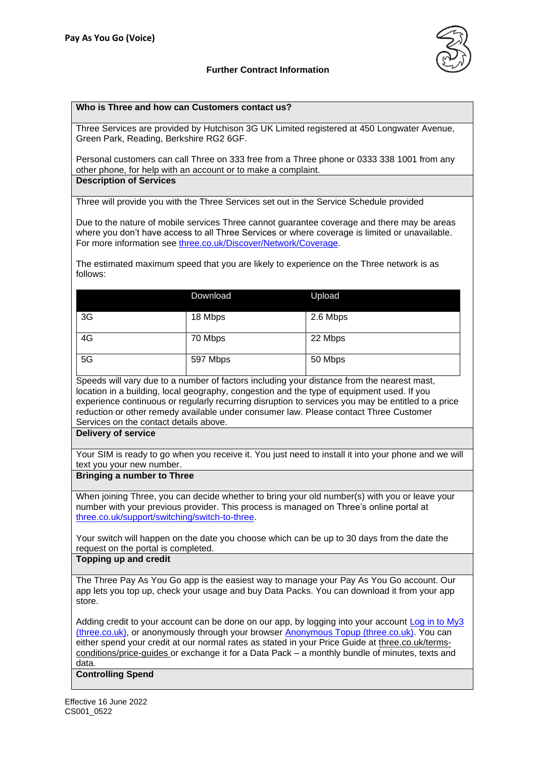# **Further Contract Information**



### **Who is Three and how can Customers contact us?**

Three Services are provided by Hutchison 3G UK Limited registered at 450 Longwater Avenue, Green Park, Reading, Berkshire RG2 6GF.

Personal customers can call Three on 333 free from a Three phone or 0333 338 1001 from any other phone, for help with an account or to make a complaint. **Description of Services**

Three will provide you with the Three Services set out in the Service Schedule provided

Due to the nature of mobile services Three cannot guarantee coverage and there may be areas where you don't have access to all Three Services or where coverage is limited or unavailable. For more information see [three.co.uk/Discover/Network/Coverage.](http://www.three.co.uk/Discover/Network/Coverage)

The estimated maximum speed that you are likely to experience on the Three network is as follows:

|    | Download | Upload   |
|----|----------|----------|
| 3G | 18 Mbps  | 2.6 Mbps |
| 4G | 70 Mbps  | 22 Mbps  |
| 5G | 597 Mbps | 50 Mbps  |

Speeds will vary due to a number of factors including your distance from the nearest mast, location in a building, local geography, congestion and the type of equipment used. If you experience continuous or regularly recurring disruption to services you may be entitled to a price reduction or other remedy available under consumer law. Please contact Three Customer Services on the contact details above.

### **Delivery of service**

Your SIM is ready to go when you receive it. You just need to install it into your phone and we will text you your new number.

#### **Bringing a number to Three**

When joining Three, you can decide whether to bring your old number(s) with you or leave your number with your previous provider. This process is managed on Three's online portal at [three.co.uk/support/switching/switch-to-three.](https://www.three.co.uk/support/switching/switch-to-three)

Your switch will happen on the date you choose which can be up to 30 days from the date the request on the portal is completed.

#### **Topping up and credit**

The Three Pay As You Go app is the easiest way to manage your Pay As You Go account. Our app lets you top up, check your usage and buy Data Packs. You can download it from your app store.

Adding credit to your account can be done on our app, by logging into your account [Log in to My3](https://new.three.co.uk/account/login#/)  [\(three.co.uk\),](https://new.three.co.uk/account/login#/) or anonymously through your browser [Anonymous Topup \(three.co.uk\).](https://new.three.co.uk/account/anonymous-top-up?aemPath=anonymousTopUp&userType=Anonymous) You can either spend your credit at our normal rates as stated in your Price Guide at [three.co.uk/terms](http://www.three.co.uk/terms-conditions/price-guides)[conditions/price-guides](http://www.three.co.uk/terms-conditions/price-guides) or exchange it for a Data Pack – a monthly bundle of minutes, texts and data.

**Controlling Spend**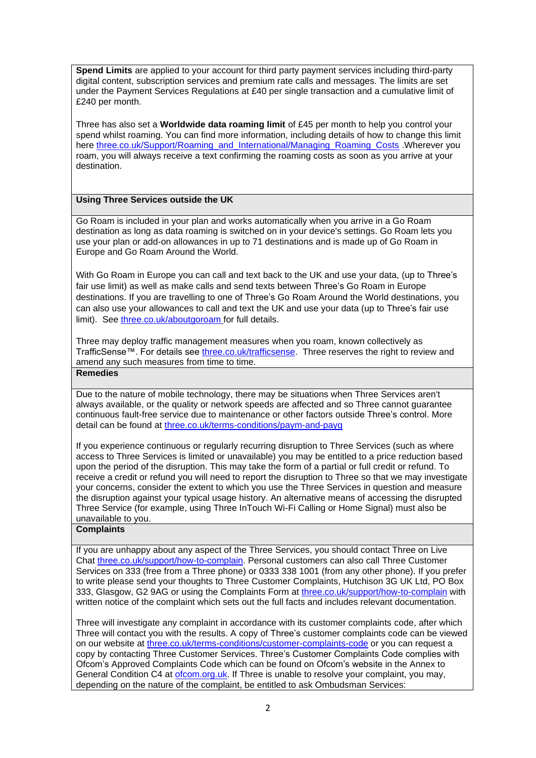**Spend Limits** are applied to your account for third party payment services including third-party digital content, subscription services and premium rate calls and messages. The limits are set under the Payment Services Regulations at £40 per single transaction and a cumulative limit of £240 per month.

Three has also set a **Worldwide data roaming limit** of £45 per month to help you control your spend whilst roaming. You can find more information, including details of how to change this limit here [three.co.uk/Support/Roaming\\_and\\_International/Managing\\_Roaming\\_Costs](https://www.three.co.uk/Support/Roaming_and_International/Managing_Roaming_Costs) .Wherever you roam, you will always receive a text confirming the roaming costs as soon as you arrive at your destination.

## **Using Three Services outside the UK**

Go Roam is included in your plan and works automatically when you arrive in a Go Roam destination as long as data roaming is switched on in your device's settings. Go Roam lets you use your plan or add-on allowances in up to 71 destinations and is made up of Go Roam in Europe and Go Roam Around the World.

With Go Roam in Europe you can call and text back to the UK and use your data, (up to Three's fair use limit) as well as make calls and send texts between Three's Go Roam in Europe destinations. If you are travelling to one of Three's Go Roam Around the World destinations, you can also use your allowances to call and text the UK and use your data (up to Three's fair use limit). See [three.co.uk/aboutgoroam](https://three.co.uk/aboutgoroam) for full details.

Three may deploy traffic management measures when you roam, known collectively as TrafficSense™. For details see [three.co.uk/trafficsense.](Three.co.uk/trafficsense) Three reserves the right to review and amend any such measures from time to time.

## **Remedies**

Due to the nature of mobile technology, there may be situations when Three Services aren't always available, or the quality or network speeds are affected and so Three cannot guarantee continuous fault-free service due to maintenance or other factors outside Three's control. More detail can be found at [three.co.uk/terms-conditions/paym-and-payg](https://www.three.co.uk/terms-conditions/paym-and-payg)

If you experience continuous or regularly recurring disruption to Three Services (such as where access to Three Services is limited or unavailable) you may be entitled to a price reduction based upon the period of the disruption. This may take the form of a partial or full credit or refund. To receive a credit or refund you will need to report the disruption to Three so that we may investigate your concerns, consider the extent to which you use the Three Services in question and measure the disruption against your typical usage history. An alternative means of accessing the disrupted Three Service (for example, using Three InTouch Wi-Fi Calling or Home Signal) must also be unavailable to you.

## **Complaints**

If you are unhappy about any aspect of the Three Services, you should contact Three on Live Chat [three.co.uk/support/how-to-complain.](http://www.three.co.uk/support/how-to-complain) Personal customers can also call Three Customer Services on 333 (free from a Three phone) or 0333 338 1001 (from any other phone). If you prefer to write please send your thoughts to Three Customer Complaints, Hutchison 3G UK Ltd, PO Box 333, Glasgow, G2 9AG or using the Complaints Form at [three.co.uk/support/how-to-complain](http://www.three.co.uk/support/how-to-complain) with written notice of the complaint which sets out the full facts and includes relevant documentation.

Three will investigate any complaint in accordance with its customer complaints code, after which Three will contact you with the results. A copy of Three's customer complaints code can be viewed on our website at [three.co.uk/terms-conditions/customer-complaints-code](http://www.three.co.uk/terms-conditions/customer-complaints-code) or you can request a copy by contacting Three Customer Services. Three's Customer Complaints Code complies with Ofcom's Approved Complaints Code which can be found on Ofcom's website in the Annex to General Condition C4 at [ofcom.org.uk.](https://www.ofcom.org.uk/) If Three is unable to resolve your complaint, you may, depending on the nature of the complaint, be entitled to ask Ombudsman Services: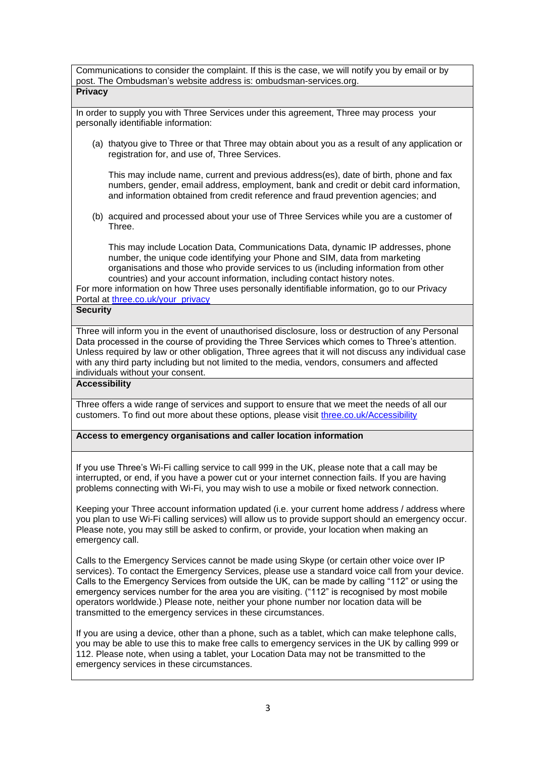Communications to consider the complaint. If this is the case, we will notify you by email or by post. The Ombudsman's website address is: [ombudsman-services.org.](https://www.ombudsman-services.org/) 

**Privacy**

In order to supply you with Three Services under this agreement, Three may process your personally identifiable information:

(a) thatyou give to Three or that Three may obtain about you as a result of any application or registration for, and use of, Three Services.

This may include name, current and previous address(es), date of birth, phone and fax numbers, gender, email address, employment, bank and credit or debit card information, and information obtained from credit reference and fraud prevention agencies; and

(b) acquired and processed about your use of Three Services while you are a customer of **Three** 

This may include Location Data, Communications Data, dynamic IP addresses, phone number, the unique code identifying your Phone and SIM, data from marketing organisations and those who provide services to us (including information from other countries) and your account information, including contact history notes.

For more information on how Three uses personally identifiable information, go to our Privacy Portal at [three.co.uk/your\\_privacy](https://eur01.safelinks.protection.outlook.com/?url=http%3A%2F%2Fwww.three.co.uk%2Fyour_privacy&data=04%7C01%7CKate.Oleary%40three.co.uk%7C0dcc5c62d25049fd6c8c08d9fd59d343%7Ca095b75b77a24e28afc227edd1d6b0ab%7C1%7C0%7C637819384511047150%7CUnknown%7CTWFpbGZsb3d8eyJWIjoiMC4wLjAwMDAiLCJQIjoiV2luMzIiLCJBTiI6Ik1haWwiLCJXVCI6Mn0%3D%7C3000&sdata=ZvwWLVNAk30KZ1ZselaNG9piNG3wcCX1dRIm8%2FlnUqg%3D&reserved=0)

# **Security**

Three will inform you in the event of unauthorised disclosure, loss or destruction of any Personal Data processed in the course of providing the Three Services which comes to Three's attention. Unless required by law or other obligation, Three agrees that it will not discuss any individual case with any third party including but not limited to the media, vendors, consumers and affected individuals without your consent.

**Accessibility**

Three offers a wide range of services and support to ensure that we meet the needs of all our customers. To find out more about these options, please visit [three.co.uk/Accessibility](https://www.three.co.uk/Accessibility)

**Access to emergency organisations and caller location information**

If you use Three's Wi-Fi calling service to call 999 in the UK, please note that a call may be interrupted, or end, if you have a power cut or your internet connection fails. If you are having problems connecting with Wi-Fi, you may wish to use a mobile or fixed network connection.

Keeping your Three account information updated (i.e. your current home address / address where you plan to use Wi-Fi calling services) will allow us to provide support should an emergency occur. Please note, you may still be asked to confirm, or provide, your location when making an emergency call.

Calls to the Emergency Services cannot be made using Skype (or certain other voice over IP services). To contact the Emergency Services, please use a standard voice call from your device. Calls to the Emergency Services from outside the UK, can be made by calling "112" or using the emergency services number for the area you are visiting. ("112" is recognised by most mobile operators worldwide.) Please note, neither your phone number nor location data will be transmitted to the emergency services in these circumstances.

If you are using a device, other than a phone, such as a tablet, which can make telephone calls, you may be able to use this to make free calls to emergency services in the UK by calling 999 or 112. Please note, when using a tablet, your Location Data may not be transmitted to the emergency services in these circumstances.